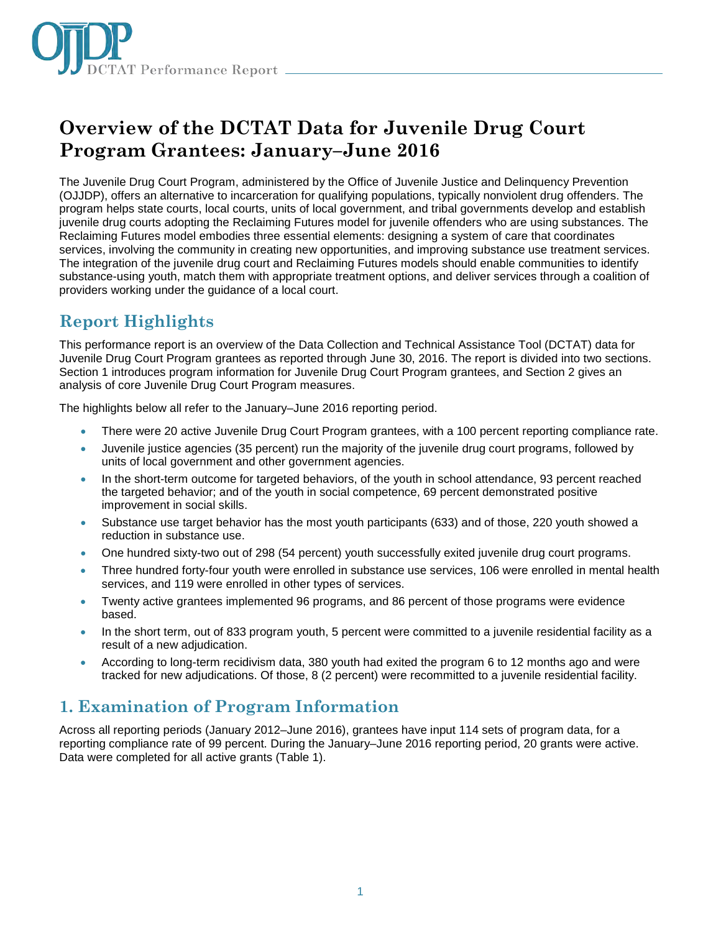

# **Overview of the DCTAT Data for Juvenile Drug Court Program Grantees: January–June 2016**

The Juvenile Drug Court Program, administered by the Office of Juvenile Justice and Delinquency Prevention (OJJDP), offers an alternative to incarceration for qualifying populations, typically nonviolent drug offenders. The program helps state courts, local courts, units of local government, and tribal governments develop and establish juvenile drug courts adopting the Reclaiming Futures model for juvenile offenders who are using substances. The Reclaiming Futures model embodies three essential elements: designing a system of care that coordinates services, involving the community in creating new opportunities, and improving substance use treatment services. The integration of the juvenile drug court and Reclaiming Futures models should enable communities to identify substance-using youth, match them with appropriate treatment options, and deliver services through a coalition of providers working under the guidance of a local court.

## **Report Highlights**

This performance report is an overview of the Data Collection and Technical Assistance Tool (DCTAT) data for Juvenile Drug Court Program grantees as reported through June 30, 2016. The report is divided into two sections. Section 1 introduces program information for Juvenile Drug Court Program grantees, and Section 2 gives an analysis of core Juvenile Drug Court Program measures.

The highlights below all refer to the January–June 2016 reporting period.

- There were 20 active Juvenile Drug Court Program grantees, with a 100 percent reporting compliance rate.
- Juvenile justice agencies (35 percent) run the majority of the juvenile drug court programs, followed by units of local government and other government agencies.
- In the short-term outcome for targeted behaviors, of the youth in school attendance, 93 percent reached the targeted behavior; and of the youth in social competence, 69 percent demonstrated positive improvement in social skills.
- Substance use target behavior has the most youth participants (633) and of those, 220 youth showed a reduction in substance use.
- One hundred sixty-two out of 298 (54 percent) youth successfully exited juvenile drug court programs.
- Three hundred forty-four youth were enrolled in substance use services, 106 were enrolled in mental health services, and 119 were enrolled in other types of services.
- Twenty active grantees implemented 96 programs, and 86 percent of those programs were evidence based.
- In the short term, out of 833 program youth, 5 percent were committed to a juvenile residential facility as a result of a new adjudication.
- According to long-term recidivism data, 380 youth had exited the program 6 to 12 months ago and were tracked for new adjudications. Of those, 8 (2 percent) were recommitted to a juvenile residential facility.

### **1. Examination of Program Information**

Across all reporting periods (January 2012–June 2016), grantees have input 114 sets of program data, for a reporting compliance rate of 99 percent. During the January–June 2016 reporting period, 20 grants were active. Data were completed for all active grants (Table 1).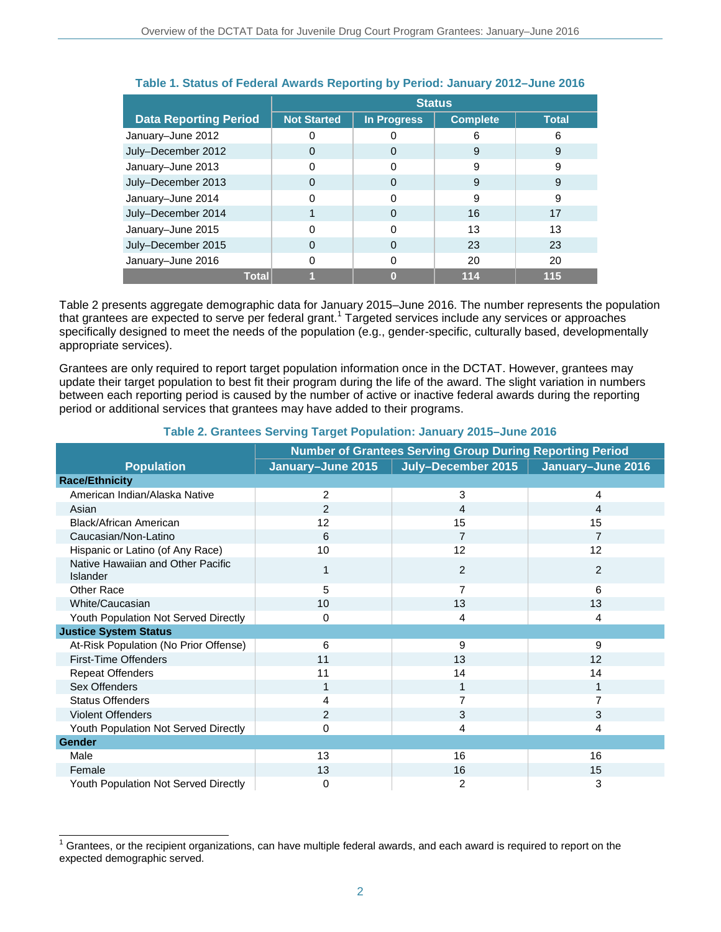|                              | <b>Status</b>      |                    |                 |              |
|------------------------------|--------------------|--------------------|-----------------|--------------|
| <b>Data Reporting Period</b> | <b>Not Started</b> | <b>In Progress</b> | <b>Complete</b> | <b>Total</b> |
| January-June 2012            |                    |                    | 6               | 6            |
| July-December 2012           | 0                  | 0                  | 9               | 9            |
| January-June 2013            |                    | ი                  | 9               | 9            |
| July-December 2013           | 0                  | 0                  | 9               | 9            |
| January-June 2014            |                    | ი                  | 9               | 9            |
| July-December 2014           |                    | $\Omega$           | 16              | 17           |
| January-June 2015            | ი                  | 0                  | 13              | 13           |
| July-December 2015           | $\Omega$           | $\Omega$           | 23              | 23           |
| January-June 2016            |                    | 0                  | 20              | 20           |
| Total                        |                    | O                  | 114             | 115          |

### **Table 1. Status of Federal Awards Reporting by Period: January 2012–June 2016**

Table 2 presents aggregate demographic data for January 2015–June 2016. The number represents the population that grantees are expected to serve per federal grant.<sup>1</sup> Targeted services include any services or approaches specifically designed to meet the needs of the population (e.g., gender-specific, culturally based, developmentally appropriate services).

Grantees are only required to report target population information once in the DCTAT. However, grantees may update their target population to best fit their program during the life of the award. The slight variation in numbers between each reporting period is caused by the number of active or inactive federal awards during the reporting period or additional services that grantees may have added to their programs.

|                                               | <b>Number of Grantees Serving Group During Reporting Period</b> |                    |                   |  |  |
|-----------------------------------------------|-----------------------------------------------------------------|--------------------|-------------------|--|--|
| <b>Population</b>                             | January-June 2015                                               | July-December 2015 | January-June 2016 |  |  |
| <b>Race/Ethnicity</b>                         |                                                                 |                    |                   |  |  |
| American Indian/Alaska Native                 | 2                                                               | 3                  | 4                 |  |  |
| Asian                                         | 2                                                               | 4                  | 4                 |  |  |
| <b>Black/African American</b>                 | 12                                                              | 15                 | 15                |  |  |
| Caucasian/Non-Latino                          | 6                                                               | $\overline{7}$     | 7                 |  |  |
| Hispanic or Latino (of Any Race)              | 10                                                              | 12                 | 12                |  |  |
| Native Hawaiian and Other Pacific<br>Islander | 1                                                               | 2                  | $\overline{2}$    |  |  |
| Other Race                                    | 5                                                               | $\overline{7}$     | 6                 |  |  |
| White/Caucasian                               | 10                                                              | 13                 | 13                |  |  |
| Youth Population Not Served Directly          | 0                                                               | 4                  | 4                 |  |  |
| <b>Justice System Status</b>                  |                                                                 |                    |                   |  |  |
| At-Risk Population (No Prior Offense)         | 6                                                               | 9                  | 9                 |  |  |
| <b>First-Time Offenders</b>                   | 11                                                              | 13                 | 12                |  |  |
| <b>Repeat Offenders</b>                       | 11                                                              | 14                 | 14                |  |  |
| Sex Offenders                                 |                                                                 |                    | $\overline{1}$    |  |  |
| <b>Status Offenders</b>                       | 4                                                               | 7                  |                   |  |  |
| Violent Offenders                             | $\overline{2}$                                                  | 3                  | 3                 |  |  |
| Youth Population Not Served Directly          | 0                                                               | 4                  | 4                 |  |  |
| <b>Gender</b>                                 |                                                                 |                    |                   |  |  |
| Male                                          | 13                                                              | 16                 | 16                |  |  |
| Female                                        | 13                                                              | 16                 | 15                |  |  |
| Youth Population Not Served Directly          | 0                                                               | 2                  | 3                 |  |  |

#### **Table 2. Grantees Serving Target Population: January 2015–June 2016**

 1 Grantees, or the recipient organizations, can have multiple federal awards, and each award is required to report on the expected demographic served.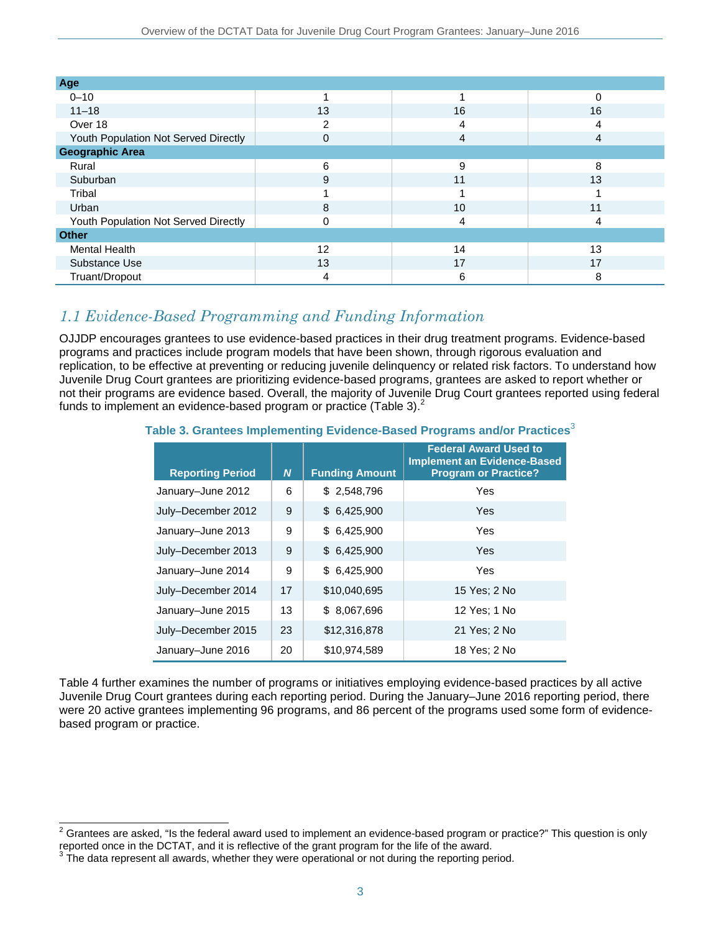| Age                                  |          |    |    |
|--------------------------------------|----------|----|----|
| $0 - 10$                             |          |    | 0  |
| $11 - 18$                            | 13       | 16 | 16 |
| Over 18                              | ◠        | 4  | 4  |
| Youth Population Not Served Directly | 0        | 4  | 4  |
| <b>Geographic Area</b>               |          |    |    |
| Rural                                | 6        | 9  | 8  |
| Suburban                             | 9        | 11 | 13 |
| Tribal                               |          |    |    |
| Urban                                | 8        | 10 | 11 |
| Youth Population Not Served Directly | $\Omega$ | 4  | 4  |
| <b>Other</b>                         |          |    |    |
| <b>Mental Health</b>                 | 12       | 14 | 13 |
| Substance Use                        | 13       | 17 | 17 |
| Truant/Dropout                       | 4        | 6  | 8  |

### *1.1 Evidence-Based Programming and Funding Information*

OJJDP encourages grantees to use evidence-based practices in their drug treatment programs. Evidence-based programs and practices include program models that have been shown, through rigorous evaluation and replication, to be effective at preventing or reducing juvenile delinquency or related risk factors. To understand how Juvenile Drug Court grantees are prioritizing evidence-based programs, grantees are asked to report whether or not their programs are evidence based. Overall, the majority of Juvenile Drug Court grantees reported using federal funds to implement an evidence-based program or practice (Table 3). $^{2}$ 

### **Table 3. Grantees Implementing Evidence-Based Programs and/or Practices**<sup>3</sup>

| <b>Reporting Period</b> | N  | <b>Funding Amount</b> | <b>Federal Award Used to</b><br><b>Implement an Evidence-Based</b><br><b>Program or Practice?</b> |
|-------------------------|----|-----------------------|---------------------------------------------------------------------------------------------------|
| January-June 2012       | 6  | \$2,548,796           | Yes                                                                                               |
| July-December 2012      | 9  | \$6,425,900           | Yes                                                                                               |
| January-June 2013       | 9  | \$6,425,900           | Yes                                                                                               |
| July-December 2013      | 9  | \$6,425,900           | Yes                                                                                               |
| January-June 2014       | 9  | \$6,425,900           | Yes                                                                                               |
| July-December 2014      | 17 | \$10,040,695          | 15 Yes; 2 No                                                                                      |
| January-June 2015       | 13 | \$8,067,696           | 12 Yes; 1 No                                                                                      |
| July-December 2015      | 23 | \$12,316,878          | 21 Yes; 2 No                                                                                      |
| January-June 2016       | 20 | \$10,974,589          | 18 Yes; 2 No                                                                                      |

Table 4 further examines the number of programs or initiatives employing evidence-based practices by all active Juvenile Drug Court grantees during each reporting period. During the January–June 2016 reporting period, there were 20 active grantees implementing 96 programs, and 86 percent of the programs used some form of evidencebased program or practice.

 $\overline{a}$  $^2$  Grantees are asked, "Is the federal award used to implement an evidence-based program or practice?" This question is only reported once in the DCTAT, and it is reflective of the grant program for the life of the award.

The data represent all awards, whether they were operational or not during the reporting period.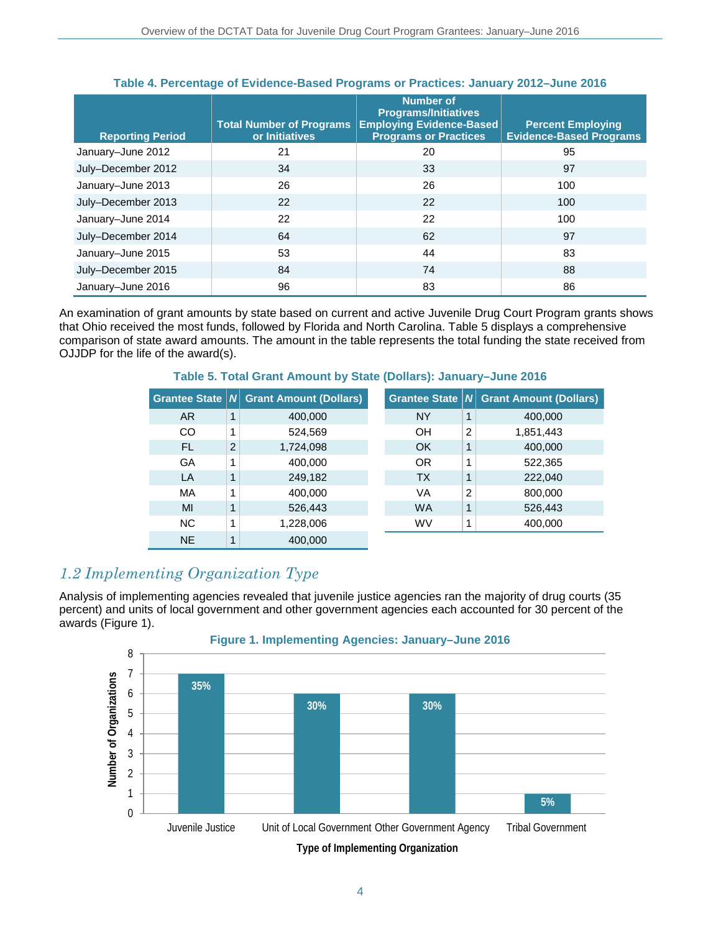| <b>Reporting Period</b> | <b>Total Number of Programs</b><br>or Initiatives | <b>Number of</b><br><b>Programs/Initiatives</b><br><b>Employing Evidence-Based</b><br><b>Programs or Practices</b> | <b>Percent Employing</b><br><b>Evidence-Based Programs</b> |
|-------------------------|---------------------------------------------------|--------------------------------------------------------------------------------------------------------------------|------------------------------------------------------------|
| January-June 2012       | 21                                                | 20                                                                                                                 | 95                                                         |
| July-December 2012      | 34                                                | 33                                                                                                                 | 97                                                         |
| January-June 2013       | 26                                                | 26                                                                                                                 | 100                                                        |
| July-December 2013      | 22                                                | 22                                                                                                                 | 100                                                        |
| January-June 2014       | 22                                                | 22                                                                                                                 | 100                                                        |
| July-December 2014      | 64                                                | 62                                                                                                                 | 97                                                         |
| January-June 2015       | 53                                                | 44                                                                                                                 | 83                                                         |
| July-December 2015      | 84                                                | 74                                                                                                                 | 88                                                         |
| January-June 2016       | 96                                                | 83                                                                                                                 | 86                                                         |

### **Table 4. Percentage of Evidence-Based Programs or Practices: January 2012–June 2016**

An examination of grant amounts by state based on current and active Juvenile Drug Court Program grants shows that Ohio received the most funds, followed by Florida and North Carolina. Table 5 displays a comprehensive comparison of state award amounts. The amount in the table represents the total funding the state received from OJJDP for the life of the award(s).

| <b>Grantee State   N </b> |                | <b>Grant Amount (Dollars)</b> | <b>Grantee State NI</b> |                | <b>Grant Amount (Dollars)</b> |
|---------------------------|----------------|-------------------------------|-------------------------|----------------|-------------------------------|
| AR.                       | 1              | 400,000                       | <b>NY</b>               | 1              | 400,000                       |
| CO                        | 1              | 524,569                       | OH                      | $\overline{2}$ | 1,851,443                     |
| <b>FL</b>                 | $\overline{2}$ | 1,724,098                     | <b>OK</b>               | 1              | 400,000                       |
| GA                        | 1              | 400,000                       | 0R                      | 1              | 522,365                       |
| LA                        | 1              | 249,182                       | <b>TX</b>               | 1              | 222,040                       |
| MA                        | 1              | 400,000                       | VA                      | 2              | 800,000                       |
| MI                        | 1              | 526,443                       | <b>WA</b>               | 1              | 526,443                       |
| <b>NC</b>                 | 1              | 1,228,006                     | <b>WV</b>               | 1              | 400,000                       |
| <b>NE</b>                 | $\mathbf{1}$   | 400,000                       |                         |                |                               |

### **Table 5. Total Grant Amount by State (Dollars): January–June 2016**

### *1.2 Implementing Organization Type*

Analysis of implementing agencies revealed that juvenile justice agencies ran the majority of drug courts (35 percent) and units of local government and other government agencies each accounted for 30 percent of the awards (Figure 1).

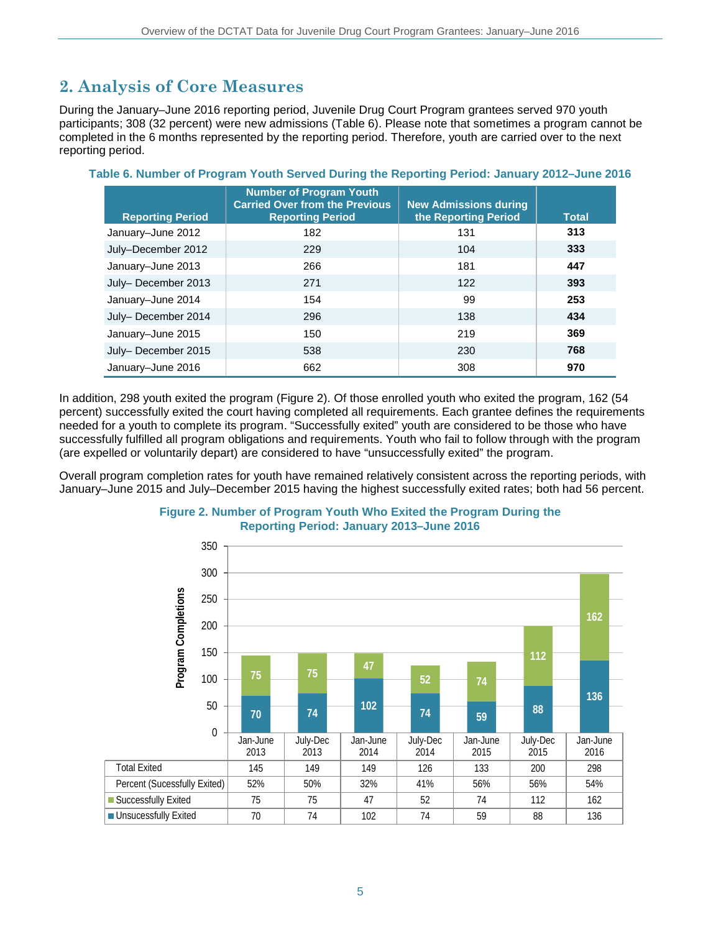## **2. Analysis of Core Measures**

During the January–June 2016 reporting period, Juvenile Drug Court Program grantees served 970 youth participants; 308 (32 percent) were new admissions (Table 6). Please note that sometimes a program cannot be completed in the 6 months represented by the reporting period. Therefore, youth are carried over to the next reporting period.

| <b>Reporting Period</b> | <b>Number of Program Youth</b><br><b>Carried Over from the Previous</b><br><b>Reporting Period</b> | <b>New Admissions during</b><br>the Reporting Period | <b>Total</b> |
|-------------------------|----------------------------------------------------------------------------------------------------|------------------------------------------------------|--------------|
| January-June 2012       | 182                                                                                                | 131                                                  | 313          |
| July-December 2012      | 229                                                                                                | 104                                                  | 333          |
| January-June 2013       | 266                                                                                                | 181                                                  | 447          |
| July-December 2013      | 271                                                                                                | 122                                                  | 393          |
| January-June 2014       | 154                                                                                                | 99                                                   | 253          |
| July-December 2014      | 296                                                                                                | 138                                                  | 434          |
| January-June 2015       | 150                                                                                                | 219                                                  | 369          |
| July-December 2015      | 538                                                                                                | 230                                                  | 768          |
| January-June 2016       | 662                                                                                                | 308                                                  | 970          |

### **Table 6. Number of Program Youth Served During the Reporting Period: January 2012–June 2016**

In addition, 298 youth exited the program (Figure 2). Of those enrolled youth who exited the program, 162 (54 percent) successfully exited the court having completed all requirements. Each grantee defines the requirements needed for a youth to complete its program. "Successfully exited" youth are considered to be those who have successfully fulfilled all program obligations and requirements. Youth who fail to follow through with the program (are expelled or voluntarily depart) are considered to have "unsuccessfully exited" the program.

Overall program completion rates for youth have remained relatively consistent across the reporting periods, with January–June 2015 and July–December 2015 having the highest successfully exited rates; both had 56 percent.



#### **Figure 2. Number of Program Youth Who Exited the Program During the Reporting Period: January 2013–June 2016**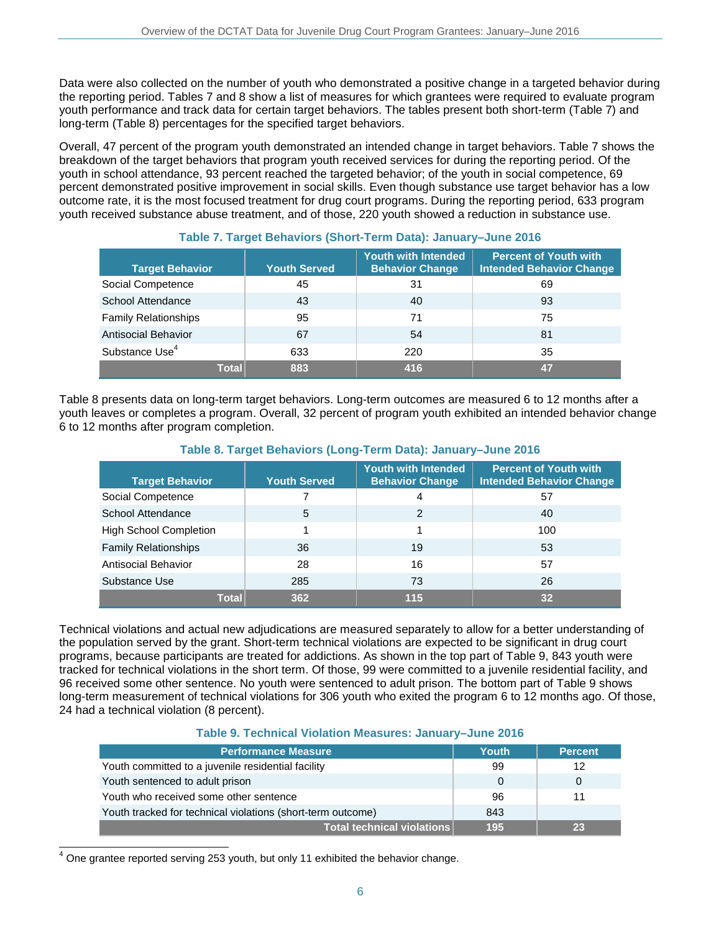Data were also collected on the number of youth who demonstrated a positive change in a targeted behavior during the reporting period. Tables 7 and 8 show a list of measures for which grantees were required to evaluate program youth performance and track data for certain target behaviors. The tables present both short-term (Table 7) and long-term (Table 8) percentages for the specified target behaviors.

Overall, 47 percent of the program youth demonstrated an intended change in target behaviors. Table 7 shows the breakdown of the target behaviors that program youth received services for during the reporting period. Of the youth in school attendance, 93 percent reached the targeted behavior; of the youth in social competence, 69 percent demonstrated positive improvement in social skills. Even though substance use target behavior has a low outcome rate, it is the most focused treatment for drug court programs. During the reporting period, 633 program youth received substance abuse treatment, and of those, 220 youth showed a reduction in substance use.

| <b>Target Behavior</b>      | <b>Youth Served</b> | <b>Youth with Intended</b><br><b>Behavior Change</b> | <b>Percent of Youth with</b><br><b>Intended Behavior Change</b> |
|-----------------------------|---------------------|------------------------------------------------------|-----------------------------------------------------------------|
| Social Competence           | 45                  | 31                                                   | 69                                                              |
| School Attendance           | 43                  | 40                                                   | 93                                                              |
| <b>Family Relationships</b> | 95                  | 71                                                   | 75                                                              |
| <b>Antisocial Behavior</b>  | 67                  | 54                                                   | 81                                                              |
| Substance Use <sup>4</sup>  | 633                 | 220                                                  | 35                                                              |
| Total                       | 883                 | 416                                                  | 47                                                              |

### **Table 7. Target Behaviors (Short-Term Data): January–June 2016**

Table 8 presents data on long-term target behaviors. Long-term outcomes are measured 6 to 12 months after a youth leaves or completes a program. Overall, 32 percent of program youth exhibited an intended behavior change 6 to 12 months after program completion.

### **Table 8. Target Behaviors (Long-Term Data): January–June 2016**

| <b>Target Behavior</b>        | <b>Youth Served</b> | <b>Youth with Intended</b><br><b>Behavior Change</b> | <b>Percent of Youth with</b><br><b>Intended Behavior Change</b> |
|-------------------------------|---------------------|------------------------------------------------------|-----------------------------------------------------------------|
| Social Competence             |                     | 4                                                    | 57                                                              |
| School Attendance             | 5                   | 2                                                    | 40                                                              |
| <b>High School Completion</b> |                     |                                                      | 100                                                             |
| <b>Family Relationships</b>   | 36                  | 19                                                   | 53                                                              |
| <b>Antisocial Behavior</b>    | 28                  | 16                                                   | 57                                                              |
| Substance Use                 | 285                 | 73                                                   | 26                                                              |
| <b>Total</b>                  | 362                 | 115                                                  | 32                                                              |

Technical violations and actual new adjudications are measured separately to allow for a better understanding of the population served by the grant. Short-term technical violations are expected to be significant in drug court programs, because participants are treated for addictions. As shown in the top part of Table 9, 843 youth were tracked for technical violations in the short term. Of those, 99 were committed to a juvenile residential facility, and 96 received some other sentence. No youth were sentenced to adult prison. The bottom part of Table 9 shows long-term measurement of technical violations for 306 youth who exited the program 6 to 12 months ago. Of those, 24 had a technical violation (8 percent).

#### **Table 9. Technical Violation Measures: January–June 2016**

| <b>Performance Measure</b>                                  | Youth | <b>Percent</b> |
|-------------------------------------------------------------|-------|----------------|
| Youth committed to a juvenile residential facility          | 99    | 12             |
| Youth sentenced to adult prison                             | 0     |                |
| Youth who received some other sentence                      | 96    | 11             |
| Youth tracked for technical violations (short-term outcome) | 843   |                |
| Total technical violations                                  | 195   |                |

 $^4$  One grantee reported serving 253 youth, but only 11 exhibited the behavior change.

 $\overline{\phantom{a}}$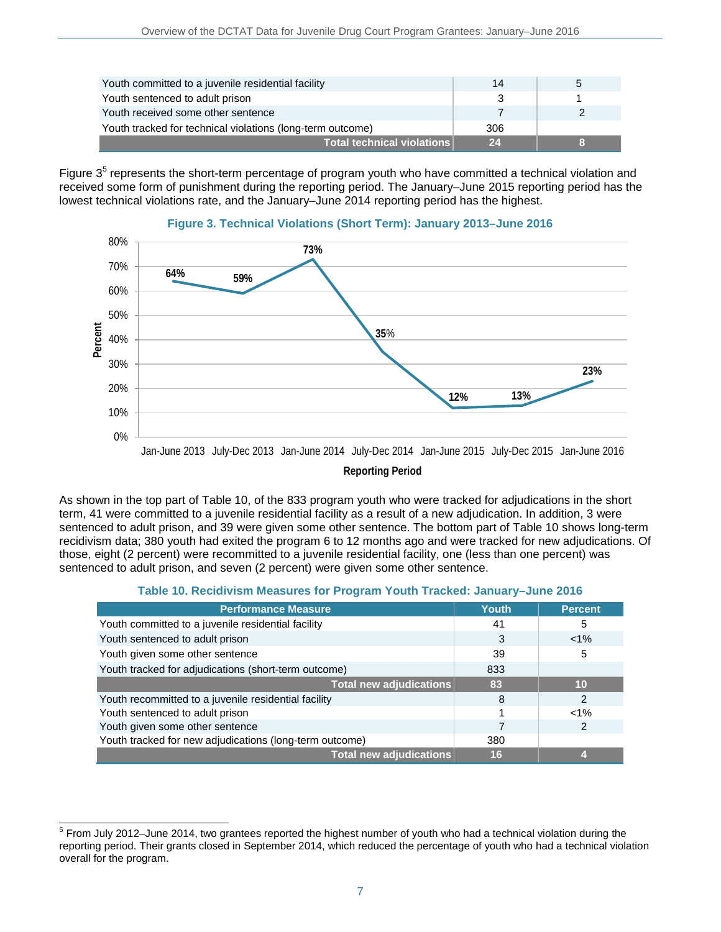| Youth committed to a juvenile residential facility         | 14  | b |
|------------------------------------------------------------|-----|---|
| Youth sentenced to adult prison                            |     |   |
| Youth received some other sentence                         |     |   |
| Youth tracked for technical violations (long-term outcome) | 306 |   |
| Total technical violations                                 | 24  |   |

Figure 3<sup>5</sup> represents the short-term percentage of program youth who have committed a technical violation and received some form of punishment during the reporting period. The January–June 2015 reporting period has the lowest technical violations rate, and the January–June 2014 reporting period has the highest.



### **Figure 3. Technical Violations (Short Term): January 2013–June 2016**

As shown in the top part of Table 10, of the 833 program youth who were tracked for adjudications in the short term, 41 were committed to a juvenile residential facility as a result of a new adjudication. In addition, 3 were sentenced to adult prison, and 39 were given some other sentence. The bottom part of Table 10 shows long-term recidivism data; 380 youth had exited the program 6 to 12 months ago and were tracked for new adjudications. Of those, eight (2 percent) were recommitted to a juvenile residential facility, one (less than one percent) was sentenced to adult prison, and seven (2 percent) were given some other sentence.

| Table 10. Recidivism Measures for Program Youth Tracked: January-June 2016 |  |
|----------------------------------------------------------------------------|--|
|----------------------------------------------------------------------------|--|

| <b>Performance Measure</b>                              | Youth | <b>Percent</b> |
|---------------------------------------------------------|-------|----------------|
| Youth committed to a juvenile residential facility      | 41    | 5              |
| Youth sentenced to adult prison                         | 3     | $< 1\%$        |
| Youth given some other sentence                         | 39    | 5              |
| Youth tracked for adjudications (short-term outcome)    | 833   |                |
| Total new adjudications                                 | 83    | 10             |
| Youth recommitted to a juvenile residential facility    | 8     | 2              |
| Youth sentenced to adult prison                         |       | $< 1\%$        |
| Youth given some other sentence                         |       | 2              |
| Youth tracked for new adjudications (long-term outcome) | 380   |                |
| Total new adjudications                                 | 16    |                |

 $\overline{a}$  $5$  From July 2012–June 2014, two grantees reported the highest number of youth who had a technical violation during the reporting period. Their grants closed in September 2014, which reduced the percentage of youth who had a technical violation overall for the program.